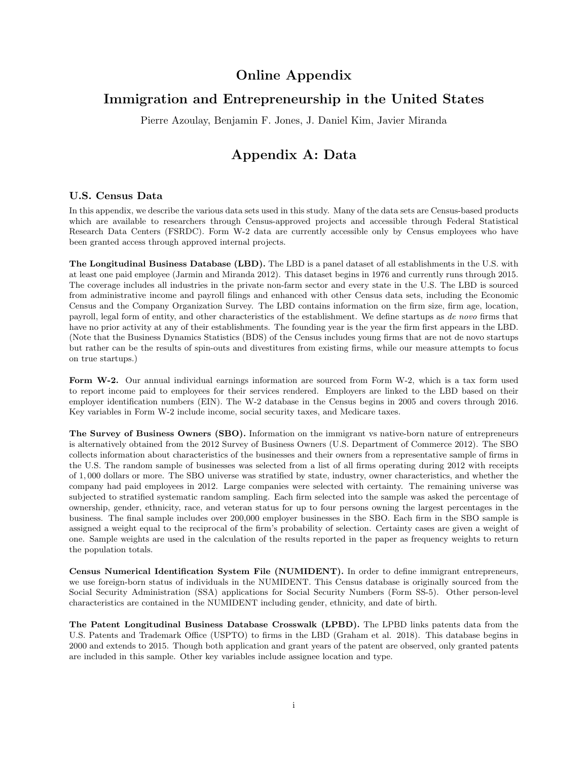# Online Appendix

# Immigration and Entrepreneurship in the United States

Pierre Azoulay, Benjamin F. Jones, J. Daniel Kim, Javier Miranda

# Appendix A: Data

### U.S. Census Data

In this appendix, we describe the various data sets used in this study. Many of the data sets are Census-based products which are available to researchers through Census-approved projects and accessible through Federal Statistical Research Data Centers (FSRDC). Form W-2 data are currently accessible only by Census employees who have been granted access through approved internal projects.

The Longitudinal Business Database (LBD). The LBD is a panel dataset of all establishments in the U.S. with at least one paid employee (Jarmin and Miranda 2012). This dataset begins in 1976 and currently runs through 2015. The coverage includes all industries in the private non-farm sector and every state in the U.S. The LBD is sourced from administrative income and payroll filings and enhanced with other Census data sets, including the Economic Census and the Company Organization Survey. The LBD contains information on the firm size, firm age, location, payroll, legal form of entity, and other characteristics of the establishment. We define startups as de novo firms that have no prior activity at any of their establishments. The founding year is the year the firm first appears in the LBD. (Note that the Business Dynamics Statistics (BDS) of the Census includes young firms that are not de novo startups but rather can be the results of spin-outs and divestitures from existing firms, while our measure attempts to focus on true startups.)

Form W-2. Our annual individual earnings information are sourced from Form W-2, which is a tax form used to report income paid to employees for their services rendered. Employers are linked to the LBD based on their employer identification numbers (EIN). The W-2 database in the Census begins in 2005 and covers through 2016. Key variables in Form W-2 include income, social security taxes, and Medicare taxes.

The Survey of Business Owners (SBO). Information on the immigrant vs native-born nature of entrepreneurs is alternatively obtained from the 2012 Survey of Business Owners (U.S. Department of Commerce 2012). The SBO collects information about characteristics of the businesses and their owners from a representative sample of firms in the U.S. The random sample of businesses was selected from a list of all firms operating during 2012 with receipts of 1, 000 dollars or more. The SBO universe was stratified by state, industry, owner characteristics, and whether the company had paid employees in 2012. Large companies were selected with certainty. The remaining universe was subjected to stratified systematic random sampling. Each firm selected into the sample was asked the percentage of ownership, gender, ethnicity, race, and veteran status for up to four persons owning the largest percentages in the business. The final sample includes over 200,000 employer businesses in the SBO. Each firm in the SBO sample is assigned a weight equal to the reciprocal of the firm's probability of selection. Certainty cases are given a weight of one. Sample weights are used in the calculation of the results reported in the paper as frequency weights to return the population totals.

Census Numerical Identification System File (NUMIDENT). In order to define immigrant entrepreneurs, we use foreign-born status of individuals in the NUMIDENT. This Census database is originally sourced from the Social Security Administration (SSA) applications for Social Security Numbers (Form SS-5). Other person-level characteristics are contained in the NUMIDENT including gender, ethnicity, and date of birth.

The Patent Longitudinal Business Database Crosswalk (LPBD). The LPBD links patents data from the U.S. Patents and Trademark Office (USPTO) to firms in the LBD (Graham et al. 2018). This database begins in 2000 and extends to 2015. Though both application and grant years of the patent are observed, only granted patents are included in this sample. Other key variables include assignee location and type.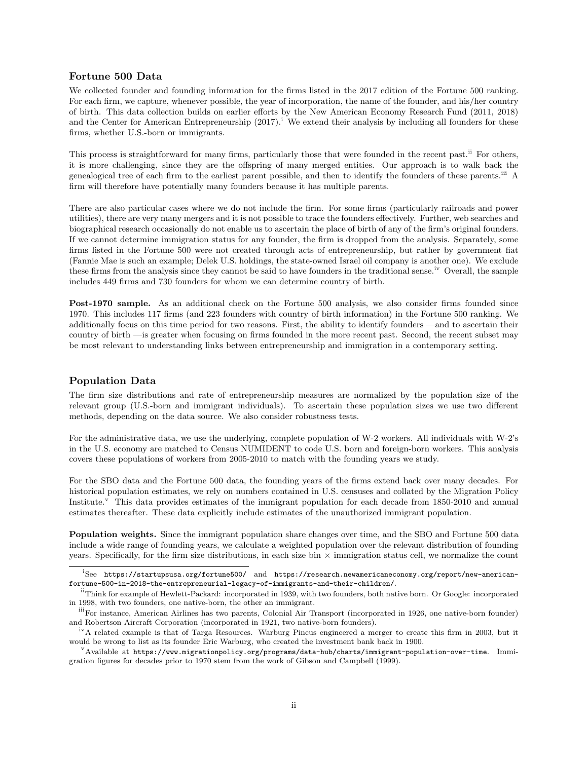### Fortune 500 Data

We collected founder and founding information for the firms listed in the 2017 edition of the Fortune 500 ranking. For each firm, we capture, whenever possible, the year of incorporation, the name of the founder, and his/her country of birth. This data collection builds on earlier efforts by the New American Economy Research Fund (2011, 2018) and the Center for American Entrepreneurship  $(2017)^{1}$ . We extend their analysis by including all founders for these firms, whether U.S.-born or immigrants.

This process is straightforward for many firms, particularly those that were founded in the recent past.<sup>ii</sup> For others, it is more challenging, since they are the offspring of many merged entities. Our approach is to walk back the genealogical tree of each firm to the earliest parent possible, and then to identify the founders of these parents.iii A firm will therefore have potentially many founders because it has multiple parents.

There are also particular cases where we do not include the firm. For some firms (particularly railroads and power utilities), there are very many mergers and it is not possible to trace the founders effectively. Further, web searches and biographical research occasionally do not enable us to ascertain the place of birth of any of the firm's original founders. If we cannot determine immigration status for any founder, the firm is dropped from the analysis. Separately, some firms listed in the Fortune 500 were not created through acts of entrepreneurship, but rather by government fiat (Fannie Mae is such an example; Delek U.S. holdings, the state-owned Israel oil company is another one). We exclude these firms from the analysis since they cannot be said to have founders in the traditional sense.<sup>iv</sup> Overall, the sample includes 449 firms and 730 founders for whom we can determine country of birth.

Post-1970 sample. As an additional check on the Fortune 500 analysis, we also consider firms founded since 1970. This includes 117 firms (and 223 founders with country of birth information) in the Fortune 500 ranking. We additionally focus on this time period for two reasons. First, the ability to identify founders —and to ascertain their country of birth —is greater when focusing on firms founded in the more recent past. Second, the recent subset may be most relevant to understanding links between entrepreneurship and immigration in a contemporary setting.

#### Population Data

The firm size distributions and rate of entrepreneurship measures are normalized by the population size of the relevant group (U.S.-born and immigrant individuals). To ascertain these population sizes we use two different methods, depending on the data source. We also consider robustness tests.

For the administrative data, we use the underlying, complete population of W-2 workers. All individuals with W-2's in the U.S. economy are matched to Census NUMIDENT to code U.S. born and foreign-born workers. This analysis covers these populations of workers from 2005-2010 to match with the founding years we study.

For the SBO data and the Fortune 500 data, the founding years of the firms extend back over many decades. For historical population estimates, we rely on numbers contained in U.S. censuses and collated by the Migration Policy Institute.<sup>v</sup> This data provides estimates of the immigrant population for each decade from 1850-2010 and annual estimates thereafter. These data explicitly include estimates of the unauthorized immigrant population.

Population weights. Since the immigrant population share changes over time, and the SBO and Fortune 500 data include a wide range of founding years, we calculate a weighted population over the relevant distribution of founding years. Specifically, for the firm size distributions, in each size bin  $\times$  immigration status cell, we normalize the count

<sup>&</sup>lt;sup>i</sup>See https://startupsusa.org/fortune500/ and https://research.newamericaneconomy.org/report/new-americanfortune-500-in-2018-the-entrepreneurial-legacy-of-immigrants-and-their-children/.

iiThink for example of Hewlett-Packard: incorporated in 1939, with two founders, both native born. Or Google: incorporated in 1998, with two founders, one native-born, the other an immigrant.

iiiFor instance, American Airlines has two parents, Colonial Air Transport (incorporated in 1926, one native-born founder) and Robertson Aircraft Corporation (incorporated in 1921, two native-born founders).

ivA related example is that of Targa Resources. Warburg Pincus engineered a merger to create this firm in 2003, but it would be wrong to list as its founder Eric Warburg, who created the investment bank back in 1900.

 $V^V$ Available at https://www.migrationpolicy.org/programs/data-hub/charts/immigrant-population-over-time. Immigration figures for decades prior to 1970 stem from the work of Gibson and Campbell (1999).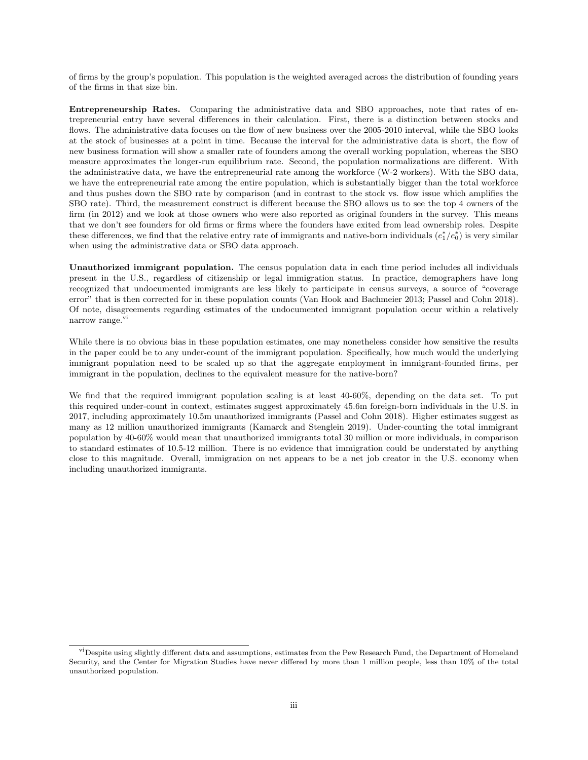of firms by the group's population. This population is the weighted averaged across the distribution of founding years of the firms in that size bin.

Entrepreneurship Rates. Comparing the administrative data and SBO approaches, note that rates of entrepreneurial entry have several differences in their calculation. First, there is a distinction between stocks and flows. The administrative data focuses on the flow of new business over the 2005-2010 interval, while the SBO looks at the stock of businesses at a point in time. Because the interval for the administrative data is short, the flow of new business formation will show a smaller rate of founders among the overall working population, whereas the SBO measure approximates the longer-run equilibrium rate. Second, the population normalizations are different. With the administrative data, we have the entrepreneurial rate among the workforce (W-2 workers). With the SBO data, we have the entrepreneurial rate among the entire population, which is substantially bigger than the total workforce and thus pushes down the SBO rate by comparison (and in contrast to the stock vs. flow issue which amplifies the SBO rate). Third, the measurement construct is different because the SBO allows us to see the top 4 owners of the firm (in 2012) and we look at those owners who were also reported as original founders in the survey. This means that we don't see founders for old firms or firms where the founders have exited from lead ownership roles. Despite these differences, we find that the relative entry rate of immigrants and native-born individuals  $(e_1^*/e_0^*)$  is very similar when using the administrative data or SBO data approach.

Unauthorized immigrant population. The census population data in each time period includes all individuals present in the U.S., regardless of citizenship or legal immigration status. In practice, demographers have long recognized that undocumented immigrants are less likely to participate in census surveys, a source of "coverage error" that is then corrected for in these population counts (Van Hook and Bachmeier 2013; Passel and Cohn 2018). Of note, disagreements regarding estimates of the undocumented immigrant population occur within a relatively narrow range.<sup>vi</sup>

While there is no obvious bias in these population estimates, one may nonetheless consider how sensitive the results in the paper could be to any under-count of the immigrant population. Specifically, how much would the underlying immigrant population need to be scaled up so that the aggregate employment in immigrant-founded firms, per immigrant in the population, declines to the equivalent measure for the native-born?

We find that the required immigrant population scaling is at least 40-60%, depending on the data set. To put this required under-count in context, estimates suggest approximately 45.6m foreign-born individuals in the U.S. in 2017, including approximately 10.5m unauthorized immigrants (Passel and Cohn 2018). Higher estimates suggest as many as 12 million unauthorized immigrants (Kamarck and Stenglein 2019). Under-counting the total immigrant population by 40-60% would mean that unauthorized immigrants total 30 million or more individuals, in comparison to standard estimates of 10.5-12 million. There is no evidence that immigration could be understated by anything close to this magnitude. Overall, immigration on net appears to be a net job creator in the U.S. economy when including unauthorized immigrants.

<sup>&</sup>lt;sup>vi</sup>Despite using slightly different data and assumptions, estimates from the Pew Research Fund, the Department of Homeland Security, and the Center for Migration Studies have never differed by more than 1 million people, less than 10% of the total unauthorized population.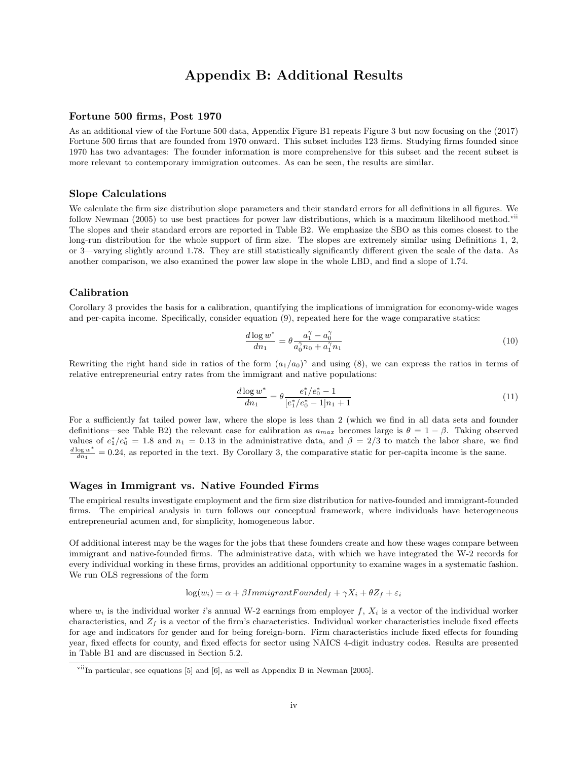# Appendix B: Additional Results

### Fortune 500 firms, Post 1970

As an additional view of the Fortune 500 data, Appendix Figure B1 repeats Figure 3 but now focusing on the (2017) Fortune 500 firms that are founded from 1970 onward. This subset includes 123 firms. Studying firms founded since 1970 has two advantages: The founder information is more comprehensive for this subset and the recent subset is more relevant to contemporary immigration outcomes. As can be seen, the results are similar.

#### Slope Calculations

We calculate the firm size distribution slope parameters and their standard errors for all definitions in all figures. We follow Newman (2005) to use best practices for power law distributions, which is a maximum likelihood method.<sup>vii</sup> The slopes and their standard errors are reported in Table B2. We emphasize the SBO as this comes closest to the long-run distribution for the whole support of firm size. The slopes are extremely similar using Definitions 1, 2, or 3—varying slightly around 1.78. They are still statistically significantly different given the scale of the data. As another comparison, we also examined the power law slope in the whole LBD, and find a slope of 1.74.

#### Calibration

Corollary 3 provides the basis for a calibration, quantifying the implications of immigration for economy-wide wages and per-capita income. Specifically, consider equation (9), repeated here for the wage comparative statics:

$$
\frac{d \log w^*}{d n_1} = \theta \frac{a_1^{\gamma} - a_0^{\gamma}}{a_0^{\gamma} n_0 + a_1^{\gamma} n_1}
$$
\n(10)

Rewriting the right hand side in ratios of the form  $(a_1/a_0)^\gamma$  and using (8), we can express the ratios in terms of relative entrepreneurial entry rates from the immigrant and native populations:

$$
\frac{d \log w^*}{dn_1} = \theta \frac{e_1^*/e_0^* - 1}{[e_1^*/e_0^* - 1]n_1 + 1} \tag{11}
$$

For a sufficiently fat tailed power law, where the slope is less than 2 (which we find in all data sets and founder definitions—see Table B2) the relevant case for calibration as  $a_{max}$  becomes large is  $\theta = 1 - \beta$ . Taking observed values of  $e_1^*/e_0^* = 1.8$  and  $n_1 = 0.13$  in the administrative data, and  $\beta = 2/3$  to match the labor share, we find  $\frac{d \log w^*}{dn_1} = 0.24$ , as reported in the text. By Corollary 3, the comparative static for per-capita income is the same.

#### Wages in Immigrant vs. Native Founded Firms

The empirical results investigate employment and the firm size distribution for native-founded and immigrant-founded firms. The empirical analysis in turn follows our conceptual framework, where individuals have heterogeneous entrepreneurial acumen and, for simplicity, homogeneous labor.

Of additional interest may be the wages for the jobs that these founders create and how these wages compare between immigrant and native-founded firms. The administrative data, with which we have integrated the W-2 records for every individual working in these firms, provides an additional opportunity to examine wages in a systematic fashion. We run OLS regressions of the form

$$
log(w_i) = \alpha + \beta ImmigrantFounded_f + \gamma X_i + \theta Z_f + \varepsilon_i
$$

where  $w_i$  is the individual worker i's annual W-2 earnings from employer f,  $X_i$  is a vector of the individual worker characteristics, and  $Z_f$  is a vector of the firm's characteristics. Individual worker characteristics include fixed effects for age and indicators for gender and for being foreign-born. Firm characteristics include fixed effects for founding year, fixed effects for county, and fixed effects for sector using NAICS 4-digit industry codes. Results are presented in Table B1 and are discussed in Section 5.2.

 $vii$ In particular, see equations [5] and [6], as well as Appendix B in Newman [2005].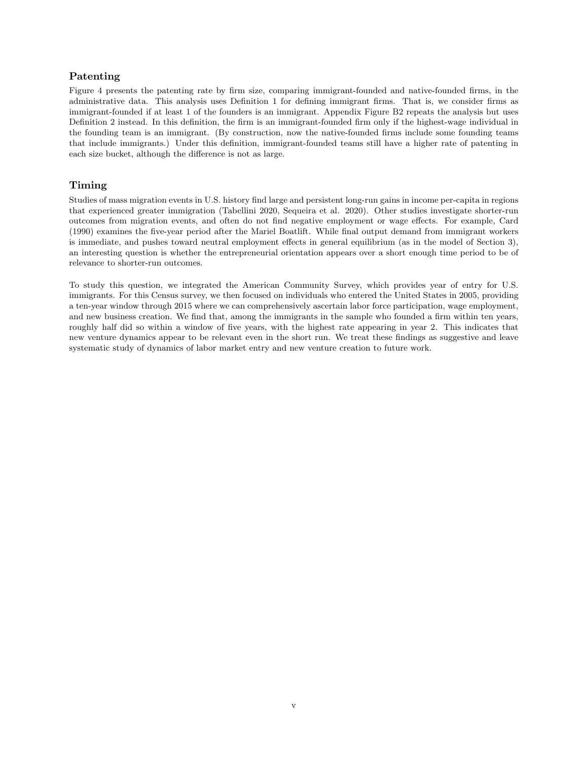### Patenting

Figure 4 presents the patenting rate by firm size, comparing immigrant-founded and native-founded firms, in the administrative data. This analysis uses Definition 1 for defining immigrant firms. That is, we consider firms as immigrant-founded if at least 1 of the founders is an immigrant. Appendix Figure B2 repeats the analysis but uses Definition 2 instead. In this definition, the firm is an immigrant-founded firm only if the highest-wage individual in the founding team is an immigrant. (By construction, now the native-founded firms include some founding teams that include immigrants.) Under this definition, immigrant-founded teams still have a higher rate of patenting in each size bucket, although the difference is not as large.

### Timing

Studies of mass migration events in U.S. history find large and persistent long-run gains in income per-capita in regions that experienced greater immigration (Tabellini 2020, Sequeira et al. 2020). Other studies investigate shorter-run outcomes from migration events, and often do not find negative employment or wage effects. For example, Card (1990) examines the five-year period after the Mariel Boatlift. While final output demand from immigrant workers is immediate, and pushes toward neutral employment effects in general equilibrium (as in the model of Section 3), an interesting question is whether the entrepreneurial orientation appears over a short enough time period to be of relevance to shorter-run outcomes.

To study this question, we integrated the American Community Survey, which provides year of entry for U.S. immigrants. For this Census survey, we then focused on individuals who entered the United States in 2005, providing a ten-year window through 2015 where we can comprehensively ascertain labor force participation, wage employment, and new business creation. We find that, among the immigrants in the sample who founded a firm within ten years, roughly half did so within a window of five years, with the highest rate appearing in year 2. This indicates that new venture dynamics appear to be relevant even in the short run. We treat these findings as suggestive and leave systematic study of dynamics of labor market entry and new venture creation to future work.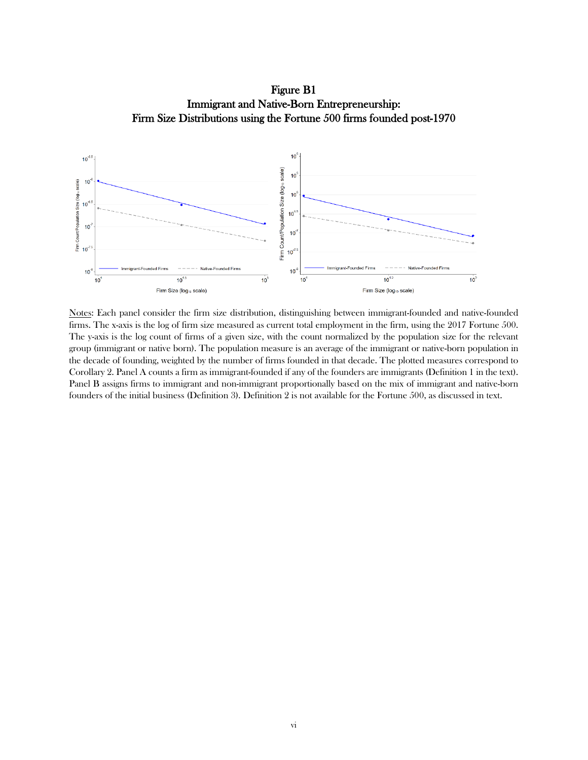Figure B1 Immigrant and Native-Born Entrepreneurship: Firm Size Distributions using the Fortune 500 firms founded post-1970



Notes: Each panel consider the firm size distribution, distinguishing between immigrant-founded and native-founded firms. The x-axis is the log of firm size measured as current total employment in the firm, using the 2017 Fortune 500. The y-axis is the log count of firms of a given size, with the count normalized by the population size for the relevant group (immigrant or native born). The population measure is an average of the immigrant or native-born population in the decade of founding, weighted by the number of firms founded in that decade. The plotted measures correspond to Corollary 2. Panel A counts a firm as immigrant-founded if any of the founders are immigrants (Definition 1 in the text). Panel B assigns firms to immigrant and non-immigrant proportionally based on the mix of immigrant and native-born founders of the initial business (Definition 3). Definition 2 is not available for the Fortune 500, as discussed in text.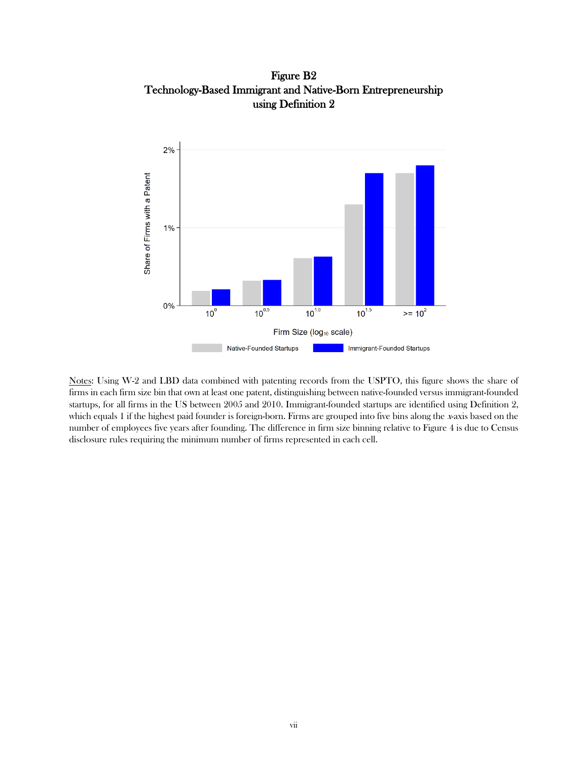Figure B2 Technology-Based Immigrant and Native-Born Entrepreneurship using Definition 2



Notes: Using W-2 and LBD data combined with patenting records from the USPTO, this figure shows the share of firms in each firm size bin that own at least one patent, distinguishing between native-founded versus immigrant-founded startups, for all firms in the US between 2005 and 2010. Immigrant-founded startups are identified using Definition 2, which equals 1 if the highest paid founder is foreign-born. Firms are grouped into five bins along the x-axis based on the number of employees five years after founding. The difference in firm size binning relative to Figure 4 is due to Census disclosure rules requiring the minimum number of firms represented in each cell.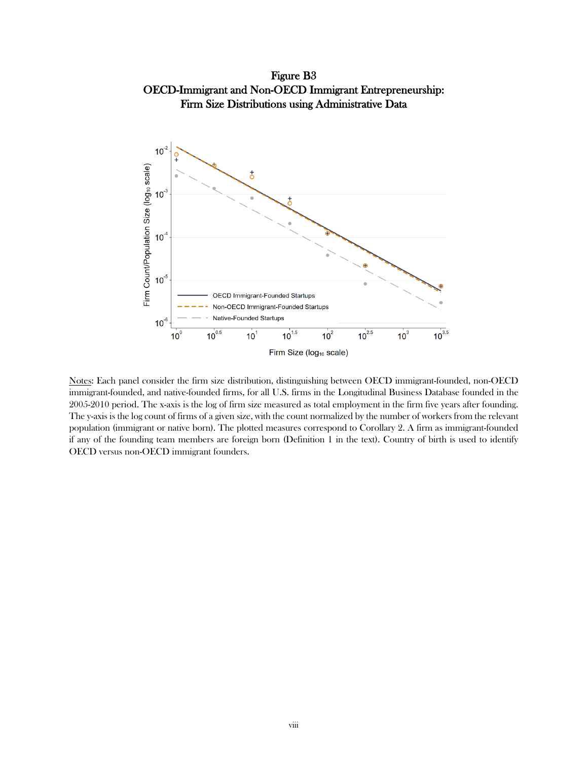Figure B3 OECD-Immigrant and Non-OECD Immigrant Entrepreneurship: Firm Size Distributions using Administrative Data



Notes: Each panel consider the firm size distribution, distinguishing between OECD immigrant-founded, non-OECD immigrant-founded, and native-founded firms, for all U.S. firms in the Longitudinal Business Database founded in the 2005-2010 period. The x-axis is the log of firm size measured as total employment in the firm five years after founding. The y-axis is the log count of firms of a given size, with the count normalized by the number of workers from the relevant population (immigrant or native born). The plotted measures correspond to Corollary 2. A firm as immigrant-founded if any of the founding team members are foreign born (Definition 1 in the text). Country of birth is used to identify OECD versus non-OECD immigrant founders.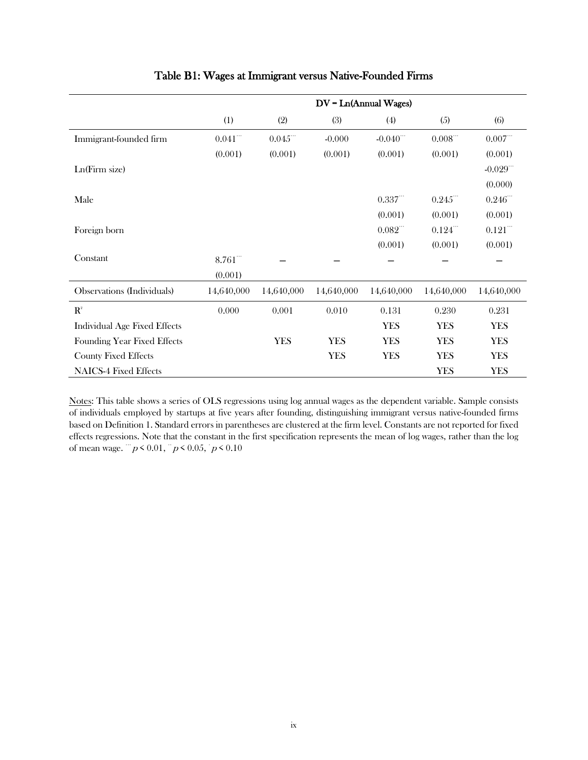|                                      | $DV = Ln(Annual Wages)$ |                       |            |                        |                       |                        |
|--------------------------------------|-------------------------|-----------------------|------------|------------------------|-----------------------|------------------------|
|                                      | (1)                     | (2)                   | (3)        | (4)                    | (5)                   | (6)                    |
| Immigrant-founded firm               | $0.041^{\cdots}$        | $0.045$ <sup>""</sup> | $-0.000$   | $-0.040$ <sup>""</sup> | $0.008$ <sup>""</sup> | $0.007$ <sup>""</sup>  |
|                                      | (0.001)                 | (0.001)               | (0.001)    | (0.001)                | (0.001)               | (0.001)                |
| Ln(Firm size)                        |                         |                       |            |                        |                       | $-0.029$ <sup>""</sup> |
|                                      |                         |                       |            |                        |                       | (0.000)                |
| Male                                 |                         |                       |            | 0.337                  | 0.245                 | 0.246                  |
|                                      |                         |                       |            | (0.001)                | (0.001)               | (0.001)                |
| Foreign born                         |                         |                       |            | $0.082$ <sup>""</sup>  | $0.124$ <sup>""</sup> | $0.121$ <sup>""</sup>  |
|                                      |                         |                       |            | (0.001)                | (0.001)               | (0.001)                |
| Constant                             | 8.761                   |                       |            |                        |                       |                        |
|                                      | (0.001)                 |                       |            |                        |                       |                        |
| Observations (Individuals)           | 14,640,000              | 14,640,000            | 14,640,000 | 14,640,000             | 14,640,000            | 14,640,000             |
| $\mathbf{R}^{\scriptscriptstyle{2}}$ | 0.000                   | 0.001                 | 0.010      | 0.131                  | 0.230                 | 0.231                  |
| <b>Individual Age Fixed Effects</b>  |                         |                       |            | <b>YES</b>             | <b>YES</b>            | <b>YES</b>             |
| Founding Year Fixed Effects          |                         | <b>YES</b>            | <b>YES</b> | <b>YES</b>             | <b>YES</b>            | <b>YES</b>             |
| <b>County Fixed Effects</b>          |                         |                       | <b>YES</b> | <b>YES</b>             | <b>YES</b>            | <b>YES</b>             |
| <b>NAICS-4 Fixed Effects</b>         |                         |                       |            |                        | <b>YES</b>            | <b>YES</b>             |

# Table B1: Wages at Immigrant versus Native-Founded Firms

Notes: This table shows a series of OLS regressions using log annual wages as the dependent variable. Sample consists of individuals employed by startups at five years after founding, distinguishing immigrant versus native-founded firms based on Definition 1. Standard errors in parentheses are clustered at the firm level. Constants are not reported for fixed effects regressions. Note that the constant in the first specification represents the mean of log wages, rather than the log of mean wage.  $\frac{m}{p}$  < 0.01,  $\frac{m}{p}$  < 0.05,  $\frac{m}{p}$  < 0.10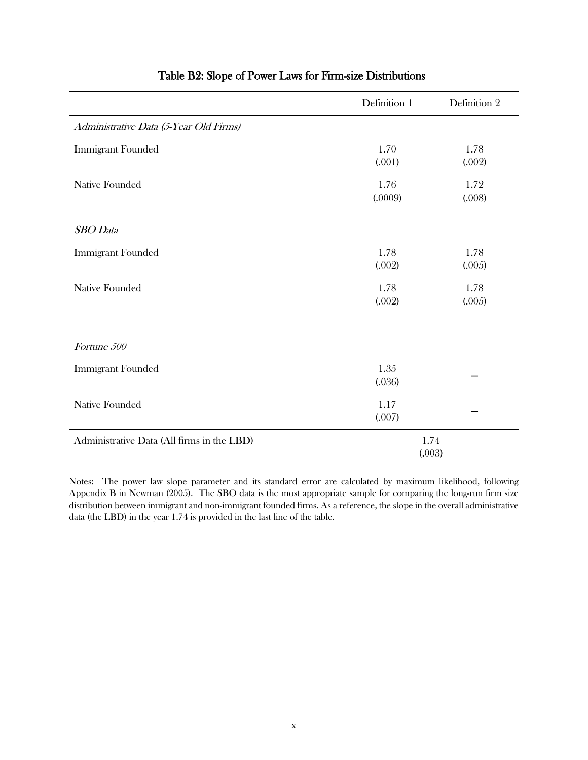|                                            | Definition 1    | Definition 2   |
|--------------------------------------------|-----------------|----------------|
| Administrative Data (5-Year Old Firms)     |                 |                |
| <b>Immigrant Founded</b>                   | 1.70<br>(.001)  | 1.78<br>(.002) |
| <b>Native Founded</b>                      | 1.76<br>(.0009) | 1.72<br>(.008) |
| <b>SBO</b> Data                            |                 |                |
| <b>Immigrant Founded</b>                   | 1.78<br>(.002)  | 1.78<br>(.005) |
| <b>Native Founded</b>                      | 1.78<br>(.002)  | 1.78<br>(.005) |
| Fortune 500                                |                 |                |
| <b>Immigrant Founded</b>                   | 1.35<br>(.036)  |                |
| <b>Native Founded</b>                      | 1.17<br>(.007)  |                |
| Administrative Data (All firms in the LBD) |                 | 1.74<br>(.003) |

# Table B2: Slope of Power Laws for Firm-size Distributions

Notes: The power law slope parameter and its standard error are calculated by maximum likelihood, following Appendix B in Newman (2005). The SBO data is the most appropriate sample for comparing the long-run firm size distribution between immigrant and non-immigrant founded firms. As a reference, the slope in the overall administrative data (the LBD) in the year 1.74 is provided in the last line of the table.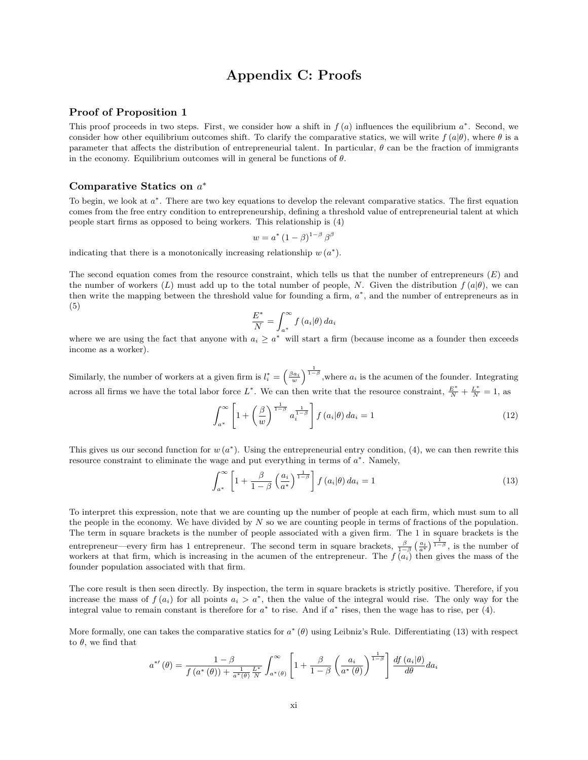# Appendix C: Proofs

### Proof of Proposition 1

This proof proceeds in two steps. First, we consider how a shift in  $f(a)$  influences the equilibrium  $a^*$ . Second, we consider how other equilibrium outcomes shift. To clarify the comparative statics, we will write  $f(a|\theta)$ , where  $\theta$  is a parameter that affects the distribution of entrepreneurial talent. In particular,  $\theta$  can be the fraction of immigrants in the economy. Equilibrium outcomes will in general be functions of  $\theta$ .

## Comparative Statics on  $a^*$

To begin, we look at  $a^*$ . There are two key equations to develop the relevant comparative statics. The first equation comes from the free entry condition to entrepreneurship, defining a threshold value of entrepreneurial talent at which people start firms as opposed to being workers. This relationship is (4)

$$
w = a^* (1 - \beta)^{1 - \beta} \beta^{\beta}
$$

indicating that there is a monotonically increasing relationship  $w(a^*)$ .

The second equation comes from the resource constraint, which tells us that the number of entrepreneurs  $(E)$  and the number of workers  $(L)$  must add up to the total number of people, N. Given the distribution  $f(a|\theta)$ , we can then write the mapping between the threshold value for founding a firm,  $a^*$ , and the number of entrepreneurs as in (5)

$$
\frac{E^*}{N} = \int_{a^*}^{\infty} f(a_i | \theta) da_i
$$

where we are using the fact that anyone with  $a_i \geq a^*$  will start a firm (because income as a founder then exceeds income as a worker).

Similarly, the number of workers at a given firm is  $l_i^* = \left(\frac{\beta a_i}{w}\right)^{\frac{1}{1-\beta}}$ , where  $a_i$  is the acumen of the founder. Integrating across all firms we have the total labor force  $L^*$ . We can then write that the resource constraint,  $\frac{E^*}{N} + \frac{L^*}{N} = 1$ , as

$$
\int_{a^*}^{\infty} \left[ 1 + \left( \frac{\beta}{w} \right)^{\frac{1}{1-\beta}} a_i^{\frac{1}{1-\beta}} \right] f(a_i | \theta) da_i = 1 \tag{12}
$$

This gives us our second function for  $w(a^*)$ . Using the entrepreneurial entry condition, (4), we can then rewrite this resource constraint to eliminate the wage and put everything in terms of  $a^*$ . Namely,

$$
\int_{a^*}^{\infty} \left[1 + \frac{\beta}{1-\beta} \left(\frac{a_i}{a^*}\right)^{\frac{1}{1-\beta}}\right] f\left(a_i|\theta\right) da_i = 1\tag{13}
$$

To interpret this expression, note that we are counting up the number of people at each firm, which must sum to all the people in the economy. We have divided by  $N$  so we are counting people in terms of fractions of the population. The term in square brackets is the number of people associated with a given firm. The 1 in square brackets is the entrepreneur—every firm has 1 entrepreneur. The second term in square brackets,  $\frac{\beta}{1-\beta} \left( \frac{a_i}{a^*} \right)^{\frac{1}{1-\beta}}$ , is the number of workers at that firm, which is increasing in the acumen of the entrepreneur. The  $f(a_i)$  then gives the mass of the founder population associated with that firm.

The core result is then seen directly. By inspection, the term in square brackets is strictly positive. Therefore, if you increase the mass of  $f(a_i)$  for all points  $a_i > a^*$ , then the value of the integral would rise. The only way for the integral value to remain constant is therefore for  $a^*$  to rise. And if  $a^*$  rises, then the wage has to rise, per (4).

More formally, one can takes the comparative statics for  $a^*(\theta)$  using Leibniz's Rule. Differentiating (13) with respect to  $\theta$ , we find that

$$
a^{*'}(\theta) = \frac{1-\beta}{f(a^*(\theta)) + \frac{1}{a^*(\theta)}\frac{L^*}{N}} \int_{a^*(\theta)}^{\infty} \left[1 + \frac{\beta}{1-\beta} \left(\frac{a_i}{a^*(\theta)}\right)^{\frac{1}{1-\beta}}\right] \frac{df(a_i|\theta)}{d\theta} da_i
$$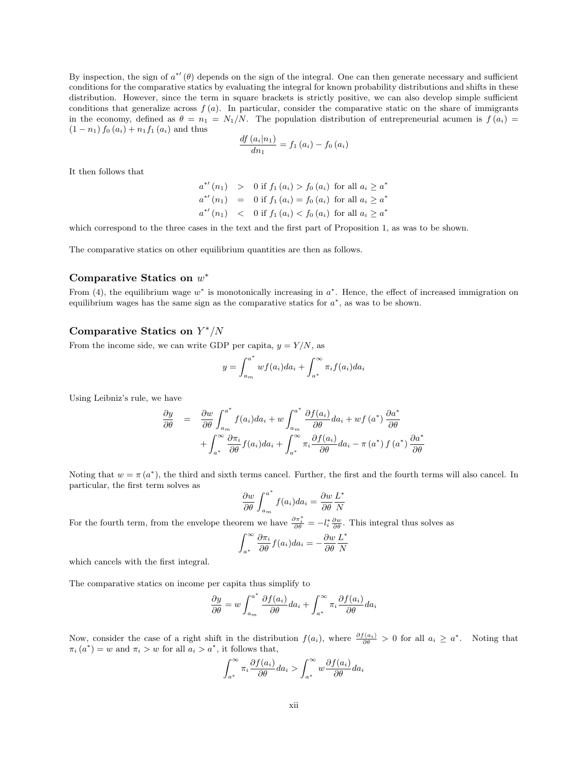By inspection, the sign of  $a^{*'}(\theta)$  depends on the sign of the integral. One can then generate necessary and sufficient conditions for the comparative statics by evaluating the integral for known probability distributions and shifts in these distribution. However, since the term in square brackets is strictly positive, we can also develop simple sufficient conditions that generalize across  $f(a)$ . In particular, consider the comparative static on the share of immigrants in the economy, defined as  $\theta = n_1 = N_1/N$ . The population distribution of entrepreneurial acumen is  $f(a_i)$  $(1 - n_1) f_0(a_i) + n_1 f_1(a_i)$  and thus

$$
\frac{df (a_i|n_1)}{dn_1} = f_1 (a_i) - f_0 (a_i)
$$

It then follows that

$$
a^{*'}(n_1) > 0 \text{ if } f_1(a_i) > f_0(a_i) \text{ for all } a_i \ge a^*
$$
  

$$
a^{*'}(n_1) = 0 \text{ if } f_1(a_i) = f_0(a_i) \text{ for all } a_i \ge a^*
$$
  

$$
a^{*'}(n_1) < 0 \text{ if } f_1(a_i) < f_0(a_i) \text{ for all } a_i \ge a^*
$$

which correspond to the three cases in the text and the first part of Proposition 1, as was to be shown.

The comparative statics on other equilibrium quantities are then as follows.

## Comparative Statics on  $w^*$

From (4), the equilibrium wage  $w^*$  is monotonically increasing in  $a^*$ . Hence, the effect of increased immigration on equilibrium wages has the same sign as the comparative statics for  $a^*$ , as was to be shown.

## Comparative Statics on  $Y^*/N$

From the income side, we can write GDP per capita,  $y = Y/N$ , as

$$
y = \int_{a_m}^{a^*} wf(a_i)da_i + \int_{a^*}^{\infty} \pi_i f(a_i)da_i
$$

Using Leibniz's rule, we have

$$
\frac{\partial y}{\partial \theta} = \frac{\partial w}{\partial \theta} \int_{a_m}^{a^*} f(a_i) da_i + w \int_{a_m}^{a^*} \frac{\partial f(a_i)}{\partial \theta} da_i + w f(a^*) \frac{\partial a^*}{\partial \theta} \n+ \int_{a^*}^{\infty} \frac{\partial \pi_i}{\partial \theta} f(a_i) da_i + \int_{a^*}^{\infty} \pi_i \frac{\partial f(a_i)}{\partial \theta} da_i - \pi(a^*) f(a^*) \frac{\partial a^*}{\partial \theta}
$$

Noting that  $w = \pi(a^*)$ , the third and sixth terms cancel. Further, the first and the fourth terms will also cancel. In particular, the first term solves as

$$
\frac{\partial w}{\partial \theta} \int_{a_m}^{a^*} f(a_i) da_i = \frac{\partial w}{\partial \theta} \frac{L^*}{N}
$$

For the fourth term, from the envelope theorem we have  $\frac{\partial \pi_i^*}{\partial \theta} = -l_i^* \frac{\partial w}{\partial \theta}$ . This integral thus solves as

$$
\int_{a^*}^{\infty} \frac{\partial \pi_i}{\partial \theta} f(a_i) da_i = -\frac{\partial w}{\partial \theta} \frac{L^*}{N}
$$

which cancels with the first integral.

The comparative statics on income per capita thus simplify to

$$
\frac{\partial y}{\partial \theta} = w \int_{a_m}^{a^*} \frac{\partial f(a_i)}{\partial \theta} da_i + \int_{a^*}^{\infty} \pi_i \frac{\partial f(a_i)}{\partial \theta} da_i
$$

Now, consider the case of a right shift in the distribution  $f(a_i)$ , where  $\frac{\partial f(a_i)}{\partial \theta} > 0$  for all  $a_i \geq a^*$ . Noting that  $\pi_i(a^*) = w$  and  $\pi_i > w$  for all  $a_i > a^*$ , it follows that,

$$
\int_{a^*}^{\infty} \pi_i \frac{\partial f(a_i)}{\partial \theta} da_i > \int_{a^*}^{\infty} w \frac{\partial f(a_i)}{\partial \theta} da_i
$$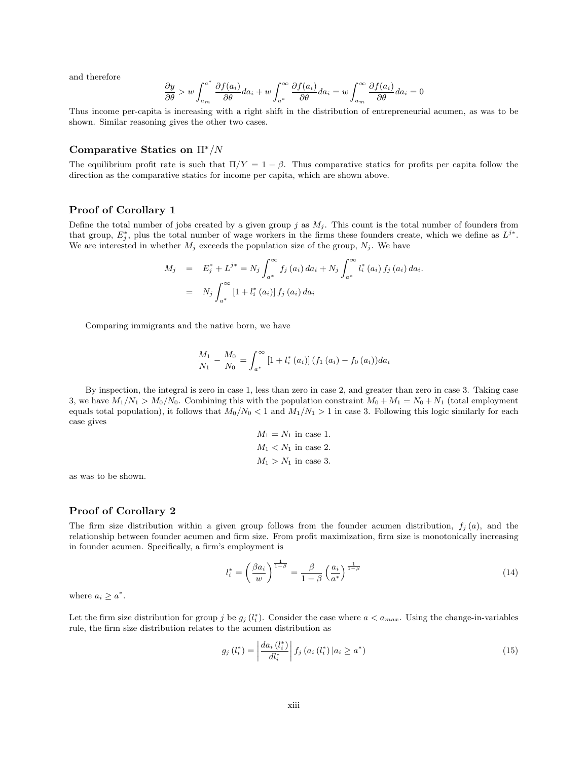and therefore

$$
\frac{\partial y}{\partial \theta} > w \int_{a_m}^{a^*} \frac{\partial f(a_i)}{\partial \theta} da_i + w \int_{a^*}^{\infty} \frac{\partial f(a_i)}{\partial \theta} da_i = w \int_{a_m}^{\infty} \frac{\partial f(a_i)}{\partial \theta} da_i = 0
$$

Thus income per-capita is increasing with a right shift in the distribution of entrepreneurial acumen, as was to be shown. Similar reasoning gives the other two cases.

### Comparative Statics on Π∗/N

The equilibrium profit rate is such that  $\Pi/Y = 1 - \beta$ . Thus comparative statics for profits per capita follow the direction as the comparative statics for income per capita, which are shown above.

#### Proof of Corollary 1

Define the total number of jobs created by a given group j as  $M_i$ . This count is the total number of founders from that group,  $E_j^*$ , plus the total number of wage workers in the firms these founders create, which we define as  $L^{j^*}$ . We are interested in whether  $M_j$  exceeds the population size of the group,  $N_j$ . We have

$$
M_{j} = E_{j}^{*} + L^{j*} = N_{j} \int_{a^{*}}^{\infty} f_{j}(a_{i}) da_{i} + N_{j} \int_{a^{*}}^{\infty} l_{i}^{*}(a_{i}) f_{j}(a_{i}) da_{i}.
$$
  
=  $N_{j} \int_{a^{*}}^{\infty} [1 + l_{i}^{*}(a_{i})] f_{j}(a_{i}) da_{i}$ 

Comparing immigrants and the native born, we have

$$
\frac{M_{1}}{N_{1}} - \frac{M_{0}}{N_{0}} = \int_{a^{*}}^{\infty} [1 + l_{i}^{*}(a_{i})] (f_{1}(a_{i}) - f_{0}(a_{i})) da_{i}
$$

By inspection, the integral is zero in case 1, less than zero in case 2, and greater than zero in case 3. Taking case 3, we have  $M_1/N_1 > M_0/N_0$ . Combining this with the population constraint  $M_0 + M_1 = N_0 + N_1$  (total employment equals total population), it follows that  $M_0/N_0 < 1$  and  $M_1/N_1 > 1$  in case 3. Following this logic similarly for each case gives

$$
M_1 = N_1
$$
 in case 1.  

$$
M_1 < N_1
$$
 in case 2.  

$$
M_1 > N_1
$$
 in case 3.

as was to be shown.

#### Proof of Corollary 2

The firm size distribution within a given group follows from the founder acumen distribution,  $f_j(a)$ , and the relationship between founder acumen and firm size. From profit maximization, firm size is monotonically increasing in founder acumen. Specifically, a firm's employment is

$$
l_i^* = \left(\frac{\beta a_i}{w}\right)^{\frac{1}{1-\beta}} = \frac{\beta}{1-\beta} \left(\frac{a_i}{a^*}\right)^{\frac{1}{1-\beta}}
$$
(14)

where  $a_i \geq a^*$ .

Let the firm size distribution for group j be  $g_j(l_i^*)$ . Consider the case where  $a < a_{max}$ . Using the change-in-variables rule, the firm size distribution relates to the acumen distribution as

$$
g_j(l_i^*) = \left| \frac{da_i(l_i^*)}{dl_i^*} \right| f_j(a_i(l_i^*) | a_i \ge a^*)
$$
\n(15)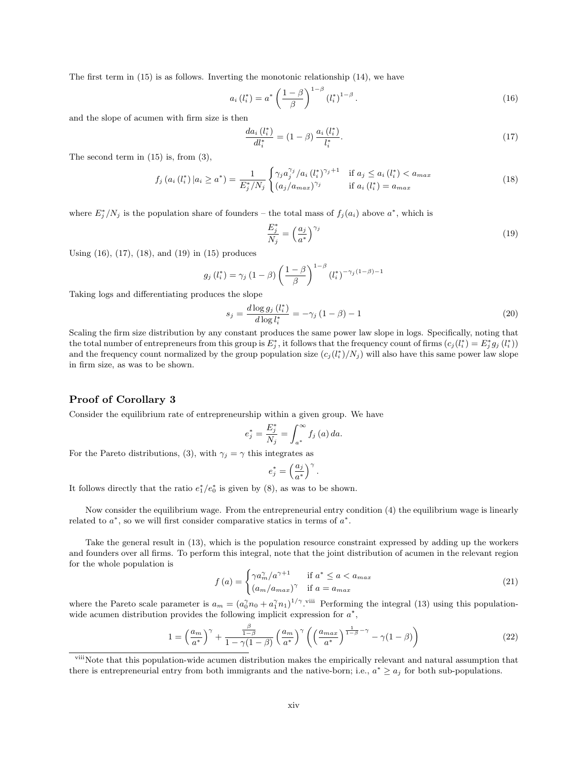The first term in (15) is as follows. Inverting the monotonic relationship (14), we have

$$
a_i(l_i^*) = a^* \left(\frac{1-\beta}{\beta}\right)^{1-\beta} (l_i^*)^{1-\beta}.
$$
\n(16)

and the slope of acumen with firm size is then

$$
\frac{da_i(l_i^*)}{dl_i^*} = (1 - \beta) \frac{a_i(l_i^*)}{l_i^*}.
$$
\n(17)

The second term in  $(15)$  is, from  $(3)$ ,

$$
f_j\left(a_i\left(l_i^*\right)|a_i \ge a^*\right) = \frac{1}{E_j^*/N_j} \begin{cases} \gamma_j a_j^{\gamma_j}/a_i\left(l_i^*\right)^{\gamma_j+1} & \text{if } a_j \le a_i\left(l_i^*\right) < a_{max} \\ \left(a_j/a_{max}\right)^{\gamma_j} & \text{if } a_i\left(l_i^*\right) = a_{max} \end{cases} \tag{18}
$$

where  $E_j^*/N_j$  is the population share of founders – the total mass of  $f_j(a_i)$  above  $a^*$ , which is

$$
\frac{E_j^*}{N_j} = \left(\frac{a_j}{a^*}\right)^{\gamma_j} \tag{19}
$$

Using (16), (17), (18), and (19) in (15) produces

$$
g_j(l_i^*) = \gamma_j (1 - \beta) \left( \frac{1 - \beta}{\beta} \right)^{1 - \beta} (l_i^*)^{-\gamma_j (1 - \beta) - 1}
$$

Taking logs and differentiating produces the slope

$$
s_j = \frac{d \log g_j(l_i^*)}{d \log l_i^*} = -\gamma_j (1 - \beta) - 1
$$
\n(20)

Scaling the firm size distribution by any constant produces the same power law slope in logs. Specifically, noting that the total number of entrepreneurs from this group is  $E_j^*$ , it follows that the frequency count of firms  $(c_j(l_i^*) = E_j^* g_j(l_i^*))$ and the frequency count normalized by the group population size  $(c_j(l_i^*)/N_j)$  will also have this same power law slope in firm size, as was to be shown.

#### Proof of Corollary 3

Consider the equilibrium rate of entrepreneurship within a given group. We have

$$
e_j^* = \frac{E_j^*}{N_j} = \int_{a^*}^{\infty} f_j(a) \, da.
$$

For the Pareto distributions, (3), with  $\gamma_j = \gamma$  this integrates as

$$
e_j^* = \left(\frac{a_j}{a^*}\right)^\gamma.
$$

It follows directly that the ratio  $e_1^*/e_0^*$  is given by (8), as was to be shown.

Now consider the equilibrium wage. From the entrepreneurial entry condition (4) the equilibrium wage is linearly related to  $a^*$ , so we will first consider comparative statics in terms of  $a^*$ .

Take the general result in (13), which is the population resource constraint expressed by adding up the workers and founders over all firms. To perform this integral, note that the joint distribution of acumen in the relevant region for the whole population is

$$
f(a) = \begin{cases} \gamma a_m^{\gamma}/a^{\gamma+1} & \text{if } a^* \le a < a_{max} \\ (a_m/a_{max})^{\gamma} & \text{if } a = a_{max} \end{cases}
$$
 (21)

where the Pareto scale parameter is  $a_m = (a_0^{\gamma} n_0 + a_1^{\gamma} n_1)^{1/\gamma}$ . "iii Performing the integral (13) using this populationwide acumen distribution provides the following implicit expression for  $a^*$ ,

$$
1 = \left(\frac{a_m}{a^*}\right)^{\gamma} + \frac{\frac{\beta}{1-\beta}}{1-\gamma(1-\beta)} \left(\frac{a_m}{a^*}\right)^{\gamma} \left(\left(\frac{a_{max}}{a^*}\right)^{\frac{1}{1-\beta}-\gamma} - \gamma(1-\beta)\right)
$$
(22)

<sup>&</sup>lt;sup>viii</sup>Note that this population-wide acumen distribution makes the empirically relevant and natural assumption that there is entrepreneurial entry from both immigrants and the native-born; i.e.,  $a^* \ge a_j$  for both sub-populations.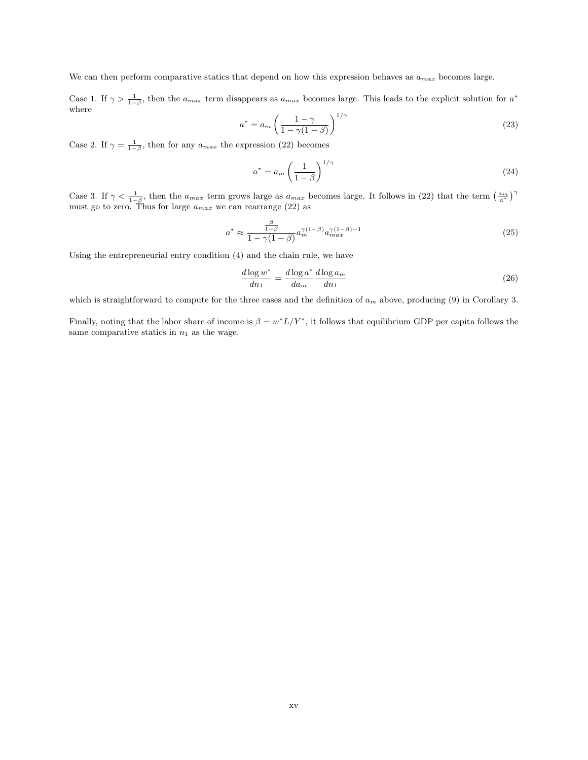We can then perform comparative statics that depend on how this expression behaves as  $a_{max}$  becomes large.

Case 1. If  $\gamma > \frac{1}{1-\beta}$ , then the  $a_{max}$  term disappears as  $a_{max}$  becomes large. This leads to the explicit solution for  $a^*$ where

$$
a^* = a_m \left(\frac{1-\gamma}{1-\gamma(1-\beta)}\right)^{1/\gamma} \tag{23}
$$

Case 2. If  $\gamma = \frac{1}{1-\beta}$ , then for any  $a_{max}$  the expression (22) becomes

$$
a^* = a_m \left(\frac{1}{1-\beta}\right)^{1/\gamma} \tag{24}
$$

Case 3. If  $\gamma < \frac{1}{1-\beta}$ , then the  $a_{max}$  term grows large as  $a_{max}$  becomes large. It follows in (22) that the term  $\left(\frac{a_m}{a^*}\right)^{\gamma}$ must go to zero. Thus for large  $a_{max}$  we can rearrange (22) as

$$
a^* \approx \frac{\frac{\beta}{1-\beta}}{1-\gamma(1-\beta)} a_m^{\gamma(1-\beta)} a_{max}^{\gamma(1-\beta)-1}
$$
\n(25)

Using the entrepreneurial entry condition (4) and the chain rule, we have

$$
\frac{d \log w^*}{dn_1} = \frac{d \log a^*}{da_m} \frac{d \log a_m}{dn_1} \tag{26}
$$

which is straightforward to compute for the three cases and the definition of  $a_m$  above, producing (9) in Corollary 3.

Finally, noting that the labor share of income is  $\beta = w^*L/Y^*$ , it follows that equilibrium GDP per capita follows the same comparative statics in  $n_1$  as the wage.